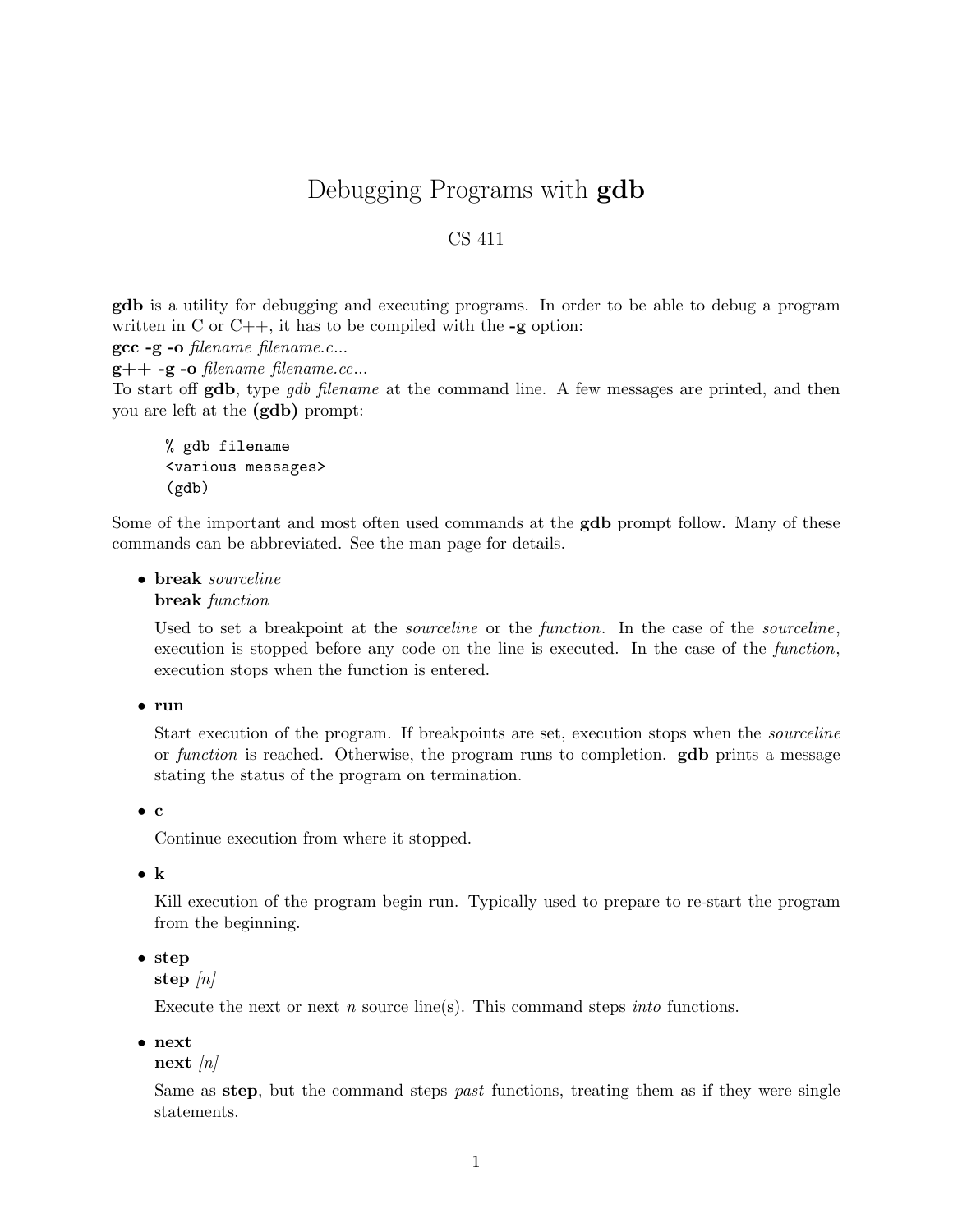# Debugging Programs with **gdb**

## CS 411

gdb is a utility for debugging and executing programs. In order to be able to debug a program written in C or  $C_{++}$ , it has to be compiled with the  $-g$  option:

gcc -g -o filename filename.c...

 $g++ -g -o$  filename filename.cc...

To start off gdb, type *qdb* filename at the command line. A few messages are printed, and then you are left at the (gdb) prompt:

% gdb filename <various messages> (gdb)

Some of the important and most often used commands at the **gdb** prompt follow. Many of these commands can be abbreviated. See the man page for details.

• break sourceline

break function

Used to set a breakpoint at the *sourceline* or the *function*. In the case of the *sourceline*, execution is stopped before any code on the line is executed. In the case of the function, execution stops when the function is entered.

• run

Start execution of the program. If breakpoints are set, execution stops when the sourceline or function is reached. Otherwise, the program runs to completion.  $\mathbf{gdb}$  prints a message stating the status of the program on termination.

• c

Continue execution from where it stopped.

• k

Kill execution of the program begin run. Typically used to prepare to re-start the program from the beginning.

• step

step  $\lfloor n \rfloor$ 

Execute the next or next  $n$  source line(s). This command steps *into* functions.

• next

 $next /n/$ 

Same as step, but the command steps *past* functions, treating them as if they were single statements.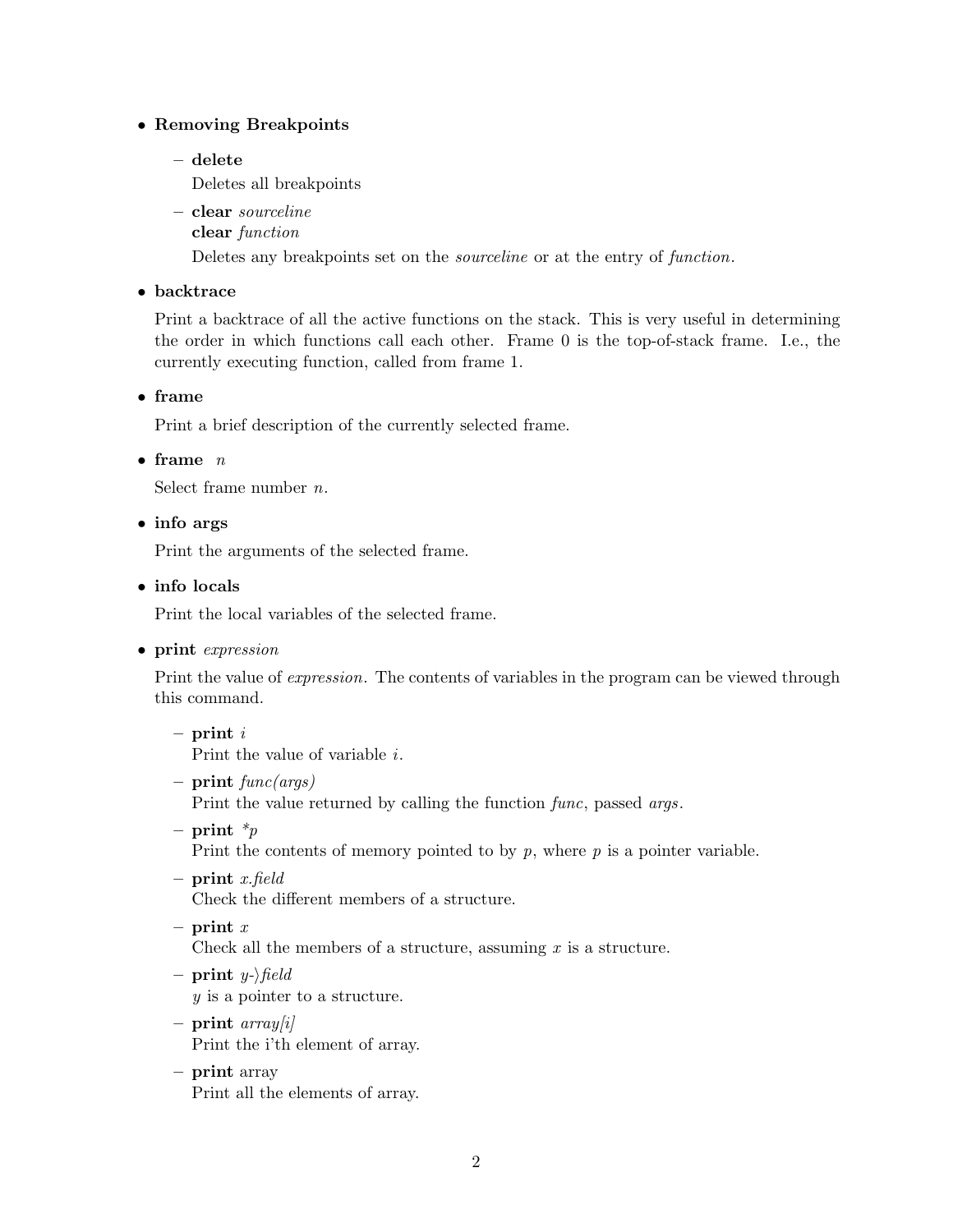## • Removing Breakpoints

– delete

Deletes all breakpoints

- clear sourceline
	- clear function

Deletes any breakpoints set on the sourceline or at the entry of function.

## • backtrace

Print a backtrace of all the active functions on the stack. This is very useful in determining the order in which functions call each other. Frame 0 is the top-of-stack frame. I.e., the currently executing function, called from frame 1.

## • frame

Print a brief description of the currently selected frame.

## • frame  $n$

Select frame number n.

• info args

Print the arguments of the selected frame.

• info locals

Print the local variables of the selected frame.

• print expression

Print the value of expression. The contents of variables in the program can be viewed through this command.

- $-$  print  $i$ Print the value of variable i.
- print  $func(args)$

Print the value returned by calling the function func, passed args.

– print  $\ast_p$ 

Print the contents of memory pointed to by  $p$ , where  $p$  is a pointer variable.

 $-$  print x.field

Check the different members of a structure.

- print  $x$ Check all the members of a structure, assuming  $x$  is a structure.
- print  $y$ - $\theta$ field y is a pointer to a structure.
- print  $array[i]$ Print the i'th element of array.
- print array Print all the elements of array.